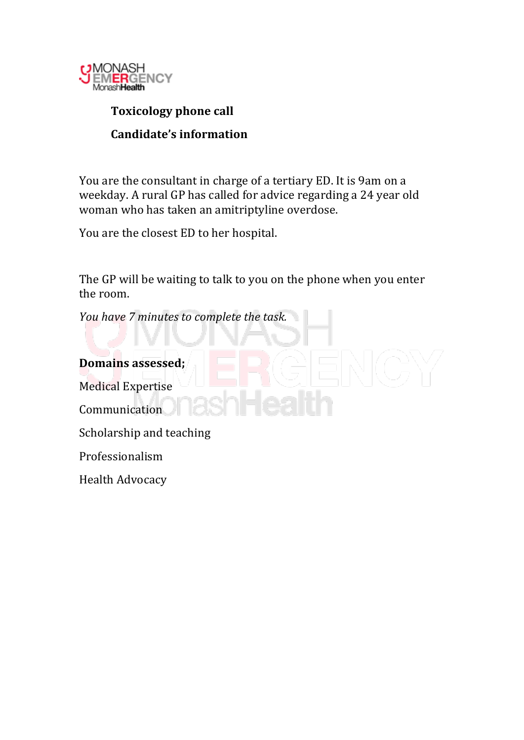

Health Advocacy

# **Toxicology phone call**

## **Candidate's information**

You are the consultant in charge of a tertiary ED. It is 9am on a weekday. A rural GP has called for advice regarding a 24 year old woman who has taken an amitriptyline overdose.

You are the closest ED to her hospital.

The GP will be waiting to talk to you on the phone when you enter the room.

*You have 7 minutes to complete the task.* **Domains!assessed;** Medical Expertise Communication Scholarship and teaching Professionalism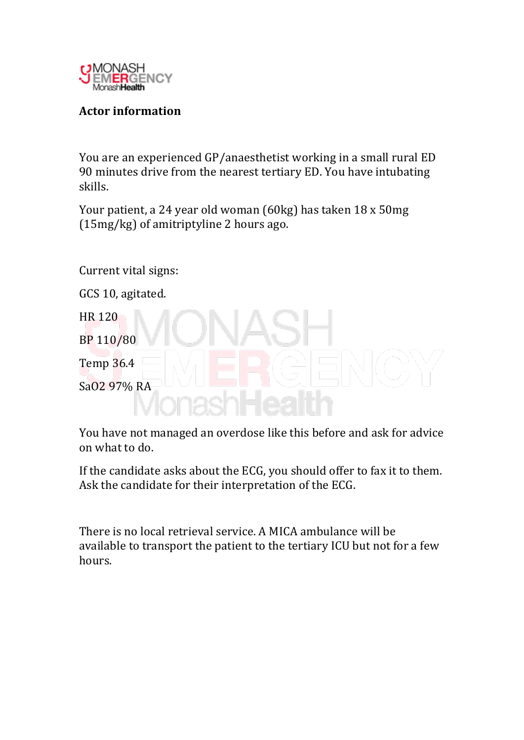

### **Actor!information**

You are an experienced GP/anaesthetist working in a small rural ED 90 minutes drive from the nearest tertiary ED. You have intubating skills.

Your patient, a 24 year old woman (60kg) has taken 18 x 50mg  $(15mg/kg)$  of amitriptyline 2 hours ago.

Current vital signs:

GCS 10, agitated.



You have not managed an overdose like this before and ask for advice on what to do.

If the candidate asks about the ECG, you should offer to fax it to them. Ask the candidate for their interpretation of the ECG.

There is no local retrieval service. A MICA ambulance will be available to transport the patient to the tertiary ICU but not for a few hours.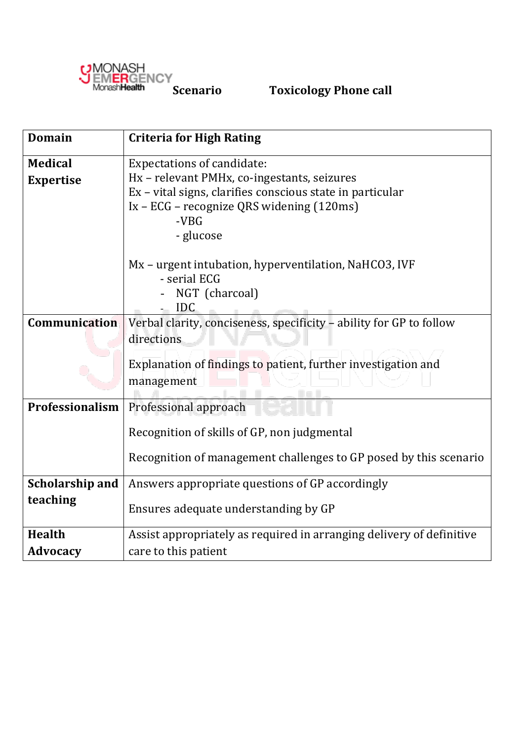

| <b>Domain</b>    | <b>Criteria for High Rating</b>                                      |  |  |  |  |  |  |  |
|------------------|----------------------------------------------------------------------|--|--|--|--|--|--|--|
| <b>Medical</b>   | <b>Expectations of candidate:</b>                                    |  |  |  |  |  |  |  |
| <b>Expertise</b> | Hx - relevant PMHx, co-ingestants, seizures                          |  |  |  |  |  |  |  |
|                  | Ex - vital signs, clarifies conscious state in particular            |  |  |  |  |  |  |  |
|                  | Ix - ECG - recognize QRS widening (120ms)                            |  |  |  |  |  |  |  |
|                  | $-VBG$                                                               |  |  |  |  |  |  |  |
|                  | - glucose                                                            |  |  |  |  |  |  |  |
|                  | Mx – urgent intubation, hyperventilation, NaHCO3, IVF                |  |  |  |  |  |  |  |
|                  | - serial ECG                                                         |  |  |  |  |  |  |  |
|                  | NGT (charcoal)                                                       |  |  |  |  |  |  |  |
|                  | <b>IDC</b>                                                           |  |  |  |  |  |  |  |
| Communication    | Verbal clarity, conciseness, specificity - ability for GP to follow  |  |  |  |  |  |  |  |
|                  | directions                                                           |  |  |  |  |  |  |  |
|                  | Explanation of findings to patient, further investigation and        |  |  |  |  |  |  |  |
|                  | management                                                           |  |  |  |  |  |  |  |
|                  |                                                                      |  |  |  |  |  |  |  |
| Professionalism  | Professional approach                                                |  |  |  |  |  |  |  |
|                  | Recognition of skills of GP, non judgmental                          |  |  |  |  |  |  |  |
|                  |                                                                      |  |  |  |  |  |  |  |
|                  | Recognition of management challenges to GP posed by this scenario    |  |  |  |  |  |  |  |
| Scholarship and  | Answers appropriate questions of GP accordingly                      |  |  |  |  |  |  |  |
| teaching         | Ensures adequate understanding by GP                                 |  |  |  |  |  |  |  |
| <b>Health</b>    | Assist appropriately as required in arranging delivery of definitive |  |  |  |  |  |  |  |
| <b>Advocacy</b>  | care to this patient                                                 |  |  |  |  |  |  |  |